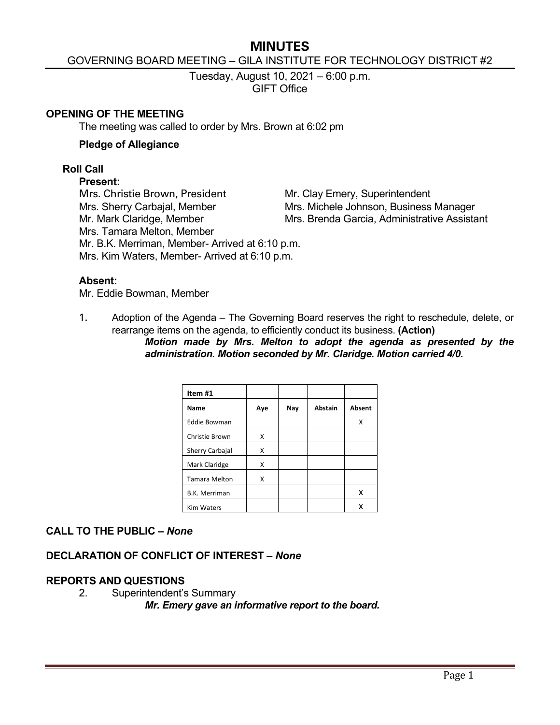# **MINUTES**

### GOVERNING BOARD MEETING – GILA INSTITUTE FOR TECHNOLOGY DISTRICT #2

Tuesday, August 10, 2021 – 6:00 p.m. GIFT Office

#### **OPENING OF THE MEETING**

The meeting was called to order by Mrs. Brown at 6:02 pm

#### **Pledge of Allegiance**

#### **Roll Call**

#### **Present:**

Mrs. Christie Brown, President Mr. Clay Emery, Superintendent

Mrs. Sherry Carbajal, Member Mrs. Michele Johnson, Business Manager Mr. Mark Claridge, Member Mrs. Brenda Garcia, Administrative Assistant Mrs. Tamara Melton, Member Mr. B.K. Merriman, Member- Arrived at 6:10 p.m. Mrs. Kim Waters, Member- Arrived at 6:10 p.m.

#### **Absent:**

Mr. Eddie Bowman, Member

1. Adoption of the Agenda – The Governing Board reserves the right to reschedule, delete, or rearrange items on the agenda, to efficiently conduct its business. **(Action)**

*Motion made by Mrs. Melton to adopt the agenda as presented by the administration. Motion seconded by Mr. Claridge. Motion carried 4/0.*

| Item #1              |     |     |                |               |
|----------------------|-----|-----|----------------|---------------|
| Name                 | Aye | Nay | <b>Abstain</b> | <b>Absent</b> |
| <b>Eddie Bowman</b>  |     |     |                | Χ             |
| Christie Brown       | X   |     |                |               |
| Sherry Carbajal      | X   |     |                |               |
| Mark Claridge        | X   |     |                |               |
| <b>Tamara Melton</b> | X   |     |                |               |
| <b>B.K. Merriman</b> |     |     |                | х             |
| <b>Kim Waters</b>    |     |     |                | x             |

# **CALL TO THE PUBLIC –** *None*

### **DECLARATION OF CONFLICT OF INTEREST –** *None*

# **REPORTS AND QUESTIONS**

2. Superintendent's Summary *Mr. Emery gave an informative report to the board.*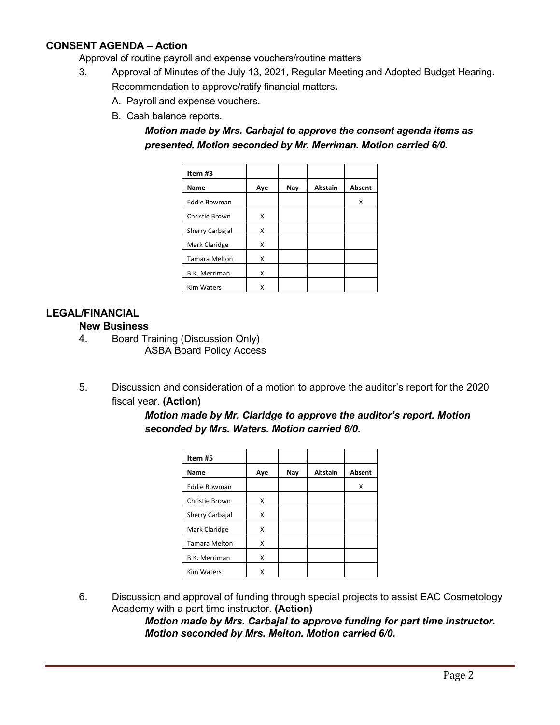# **CONSENT AGENDA – Action**

Approval of routine payroll and expense vouchers/routine matters

- 3. Approval of Minutes of the July 13, 2021, Regular Meeting and Adopted Budget Hearing. Recommendation to approve/ratify financial matters**.**
	- A. Payroll and expense vouchers.
	- B. Cash balance reports.

*Motion made by Mrs. Carbajal to approve the consent agenda items as presented. Motion seconded by Mr. Merriman. Motion carried 6/0.*

| Item #3              |     |     |                |               |
|----------------------|-----|-----|----------------|---------------|
| Name                 | Aye | Nay | <b>Abstain</b> | <b>Absent</b> |
| <b>Eddie Bowman</b>  |     |     |                | x             |
| Christie Brown       | X   |     |                |               |
| Sherry Carbajal      | X   |     |                |               |
| Mark Claridge        | X   |     |                |               |
| <b>Tamara Melton</b> | X   |     |                |               |
| <b>B.K. Merriman</b> | X   |     |                |               |
| <b>Kim Waters</b>    | x   |     |                |               |

# **LEGAL/FINANCIAL**

### **New Business**

- 4. Board Training (Discussion Only) ASBA Board Policy Access
- 5. Discussion and consideration of a motion to approve the auditor's report for the 2020 fiscal year. **(Action)**

| onded by mis. waters. Motion carried 0/0. |     |     |                |        |  |  |
|-------------------------------------------|-----|-----|----------------|--------|--|--|
| Item #5                                   |     |     |                |        |  |  |
| Name                                      | Aye | Nay | <b>Abstain</b> | Absent |  |  |
| <b>Eddie Bowman</b>                       |     |     |                |        |  |  |
| Christie Brown                            | x   |     |                |        |  |  |

Sherry Carbajal X Mark Claridge | X Tamara Melton | X B.K. Merriman | X Kim Waters X

| Motion made by Mr. Claridge to approve the auditor's report. Motion |  |
|---------------------------------------------------------------------|--|
| seconded by Mrs. Waters. Motion carried 6/0.                        |  |

| Discussion and approval of funding through special projects to assist EAC Cosmetology |
|---------------------------------------------------------------------------------------|
| Academy with a part time instructor. (Action)                                         |

*Motion made by Mrs. Carbajal to approve funding for part time instructor. Motion seconded by Mrs. Melton. Motion carried 6/0.*